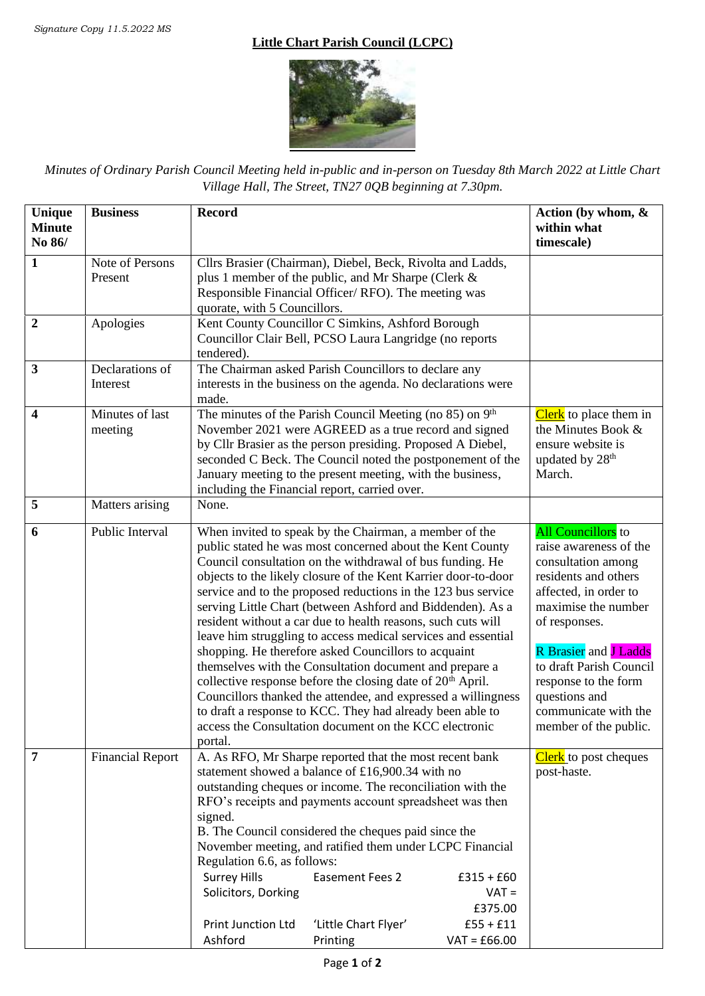## **Little Chart Parish Council (LCPC)**



*Minutes of Ordinary Parish Council Meeting held in-public and in-person on Tuesday 8th March 2022 at Little Chart Village Hall, The Street, TN27 0QB beginning at 7.30pm.*

| Unique<br><b>Minute</b> | <b>Business</b>         | <b>Record</b>                                                                                                                 |                                                                      |                | Action (by whom, &<br>within what            |
|-------------------------|-------------------------|-------------------------------------------------------------------------------------------------------------------------------|----------------------------------------------------------------------|----------------|----------------------------------------------|
| No 86/                  |                         |                                                                                                                               |                                                                      |                | timescale)                                   |
| $\mathbf{1}$            | Note of Persons         |                                                                                                                               | Cllrs Brasier (Chairman), Diebel, Beck, Rivolta and Ladds,           |                |                                              |
|                         | Present                 |                                                                                                                               | plus 1 member of the public, and Mr Sharpe (Clerk &                  |                |                                              |
|                         |                         |                                                                                                                               | Responsible Financial Officer/RFO). The meeting was                  |                |                                              |
|                         |                         | quorate, with 5 Councillors.                                                                                                  |                                                                      |                |                                              |
| $\mathbf{2}$            | Apologies               |                                                                                                                               | Kent County Councillor C Simkins, Ashford Borough                    |                |                                              |
|                         |                         | tendered).                                                                                                                    | Councillor Clair Bell, PCSO Laura Langridge (no reports              |                |                                              |
| $\mathbf{3}$            | Declarations of         |                                                                                                                               | The Chairman asked Parish Councillors to declare any                 |                |                                              |
|                         | Interest                |                                                                                                                               | interests in the business on the agenda. No declarations were        |                |                                              |
|                         |                         | made.                                                                                                                         |                                                                      |                |                                              |
| 4                       | Minutes of last         |                                                                                                                               | The minutes of the Parish Council Meeting (no 85) on 9 <sup>th</sup> |                | Clerk to place them in                       |
|                         | meeting                 |                                                                                                                               | November 2021 were AGREED as a true record and signed                |                | the Minutes Book &                           |
|                         |                         |                                                                                                                               | by Cllr Brasier as the person presiding. Proposed A Diebel,          |                | ensure website is                            |
|                         |                         | seconded C Beck. The Council noted the postponement of the<br>January meeting to the present meeting, with the business,      |                                                                      |                | updated by 28 <sup>th</sup><br>March.        |
|                         |                         |                                                                                                                               | including the Financial report, carried over.                        |                |                                              |
| 5                       | Matters arising         | None.                                                                                                                         |                                                                      |                |                                              |
|                         |                         |                                                                                                                               |                                                                      |                |                                              |
| 6                       | Public Interval         |                                                                                                                               | When invited to speak by the Chairman, a member of the               |                | All Councillors to                           |
|                         |                         | public stated he was most concerned about the Kent County                                                                     |                                                                      |                | raise awareness of the                       |
|                         |                         |                                                                                                                               | Council consultation on the withdrawal of bus funding. He            |                | consultation among                           |
|                         |                         |                                                                                                                               | objects to the likely closure of the Kent Karrier door-to-door       |                | residents and others                         |
|                         |                         | service and to the proposed reductions in the 123 bus service                                                                 |                                                                      |                | affected, in order to<br>maximise the number |
|                         |                         | serving Little Chart (between Ashford and Biddenden). As a                                                                    |                                                                      |                | of responses.                                |
|                         |                         | resident without a car due to health reasons, such cuts will<br>leave him struggling to access medical services and essential |                                                                      |                |                                              |
|                         |                         | shopping. He therefore asked Councillors to acquaint                                                                          |                                                                      |                | <b>R</b> Brasier and <b>J Ladds</b>          |
|                         |                         | themselves with the Consultation document and prepare a                                                                       |                                                                      |                | to draft Parish Council                      |
|                         |                         | collective response before the closing date of 20 <sup>th</sup> April.                                                        |                                                                      |                | response to the form                         |
|                         |                         | Councillors thanked the attendee, and expressed a willingness                                                                 |                                                                      |                | questions and                                |
|                         |                         | to draft a response to KCC. They had already been able to                                                                     |                                                                      |                | communicate with the                         |
|                         |                         | access the Consultation document on the KCC electronic                                                                        |                                                                      |                | member of the public.                        |
|                         |                         | portal.                                                                                                                       |                                                                      |                |                                              |
| 7                       | <b>Financial Report</b> |                                                                                                                               | A. As RFO, Mr Sharpe reported that the most recent bank              |                | <b>Clerk</b> to post cheques                 |
|                         |                         |                                                                                                                               | statement showed a balance of £16,900.34 with no                     |                | post-haste.                                  |
|                         |                         | outstanding cheques or income. The reconciliation with the                                                                    |                                                                      |                |                                              |
|                         |                         | RFO's receipts and payments account spreadsheet was then                                                                      |                                                                      |                |                                              |
|                         |                         | signed.                                                                                                                       |                                                                      |                |                                              |
|                         |                         |                                                                                                                               | B. The Council considered the cheques paid since the                 |                |                                              |
|                         |                         | November meeting, and ratified them under LCPC Financial<br>Regulation 6.6, as follows:                                       |                                                                      |                |                                              |
|                         |                         | <b>Surrey Hills</b>                                                                                                           | <b>Easement Fees 2</b>                                               | $£315 + £60$   |                                              |
|                         |                         | Solicitors, Dorking                                                                                                           |                                                                      | $VAT =$        |                                              |
|                         |                         |                                                                                                                               |                                                                      | £375.00        |                                              |
|                         |                         | Print Junction Ltd                                                                                                            | 'Little Chart Flyer'                                                 | $£55 + £11$    |                                              |
|                         |                         | Ashford                                                                                                                       | Printing                                                             | $VAT = £66.00$ |                                              |